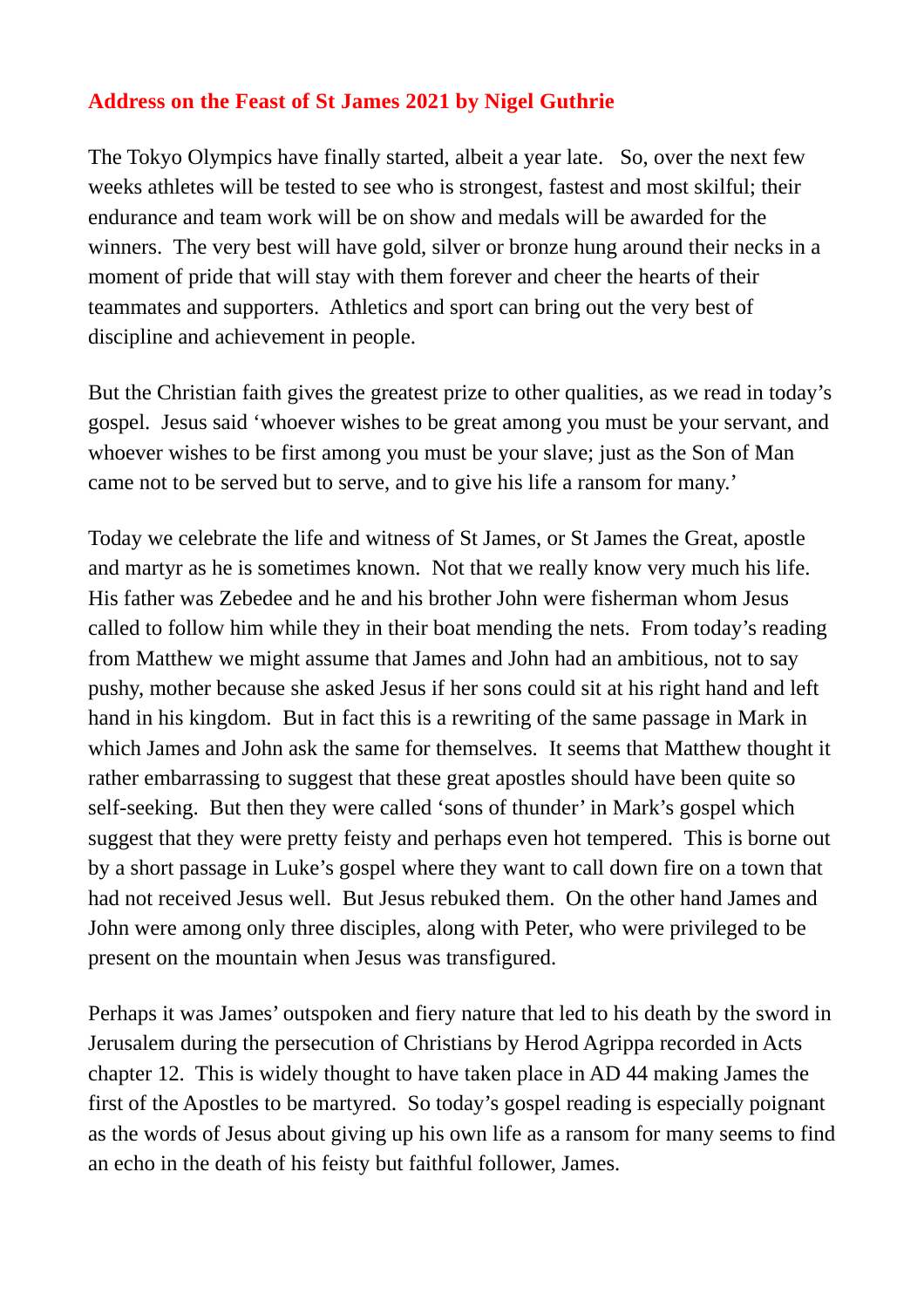## **Address on the Feast of St James 2021 by Nigel Guthrie**

The Tokyo Olympics have finally started, albeit a year late. So, over the next few weeks athletes will be tested to see who is strongest, fastest and most skilful; their endurance and team work will be on show and medals will be awarded for the winners. The very best will have gold, silver or bronze hung around their necks in a moment of pride that will stay with them forever and cheer the hearts of their teammates and supporters. Athletics and sport can bring out the very best of discipline and achievement in people.

But the Christian faith gives the greatest prize to other qualities, as we read in today's gospel. Jesus said 'whoever wishes to be great among you must be your servant, and whoever wishes to be first among you must be your slave; just as the Son of Man came not to be served but to serve, and to give his life a ransom for many.'

Today we celebrate the life and witness of St James, or St James the Great, apostle and martyr as he is sometimes known. Not that we really know very much his life. His father was Zebedee and he and his brother John were fisherman whom Jesus called to follow him while they in their boat mending the nets. From today's reading from Matthew we might assume that James and John had an ambitious, not to say pushy, mother because she asked Jesus if her sons could sit at his right hand and left hand in his kingdom. But in fact this is a rewriting of the same passage in Mark in which James and John ask the same for themselves. It seems that Matthew thought it rather embarrassing to suggest that these great apostles should have been quite so self-seeking. But then they were called 'sons of thunder' in Mark's gospel which suggest that they were pretty feisty and perhaps even hot tempered. This is borne out by a short passage in Luke's gospel where they want to call down fire on a town that had not received Jesus well. But Jesus rebuked them. On the other hand James and John were among only three disciples, along with Peter, who were privileged to be present on the mountain when Jesus was transfigured.

Perhaps it was James' outspoken and fiery nature that led to his death by the sword in Jerusalem during the persecution of Christians by Herod Agrippa recorded in Acts chapter 12. This is widely thought to have taken place in AD 44 making James the first of the Apostles to be martyred. So today's gospel reading is especially poignant as the words of Jesus about giving up his own life as a ransom for many seems to find an echo in the death of his feisty but faithful follower, James.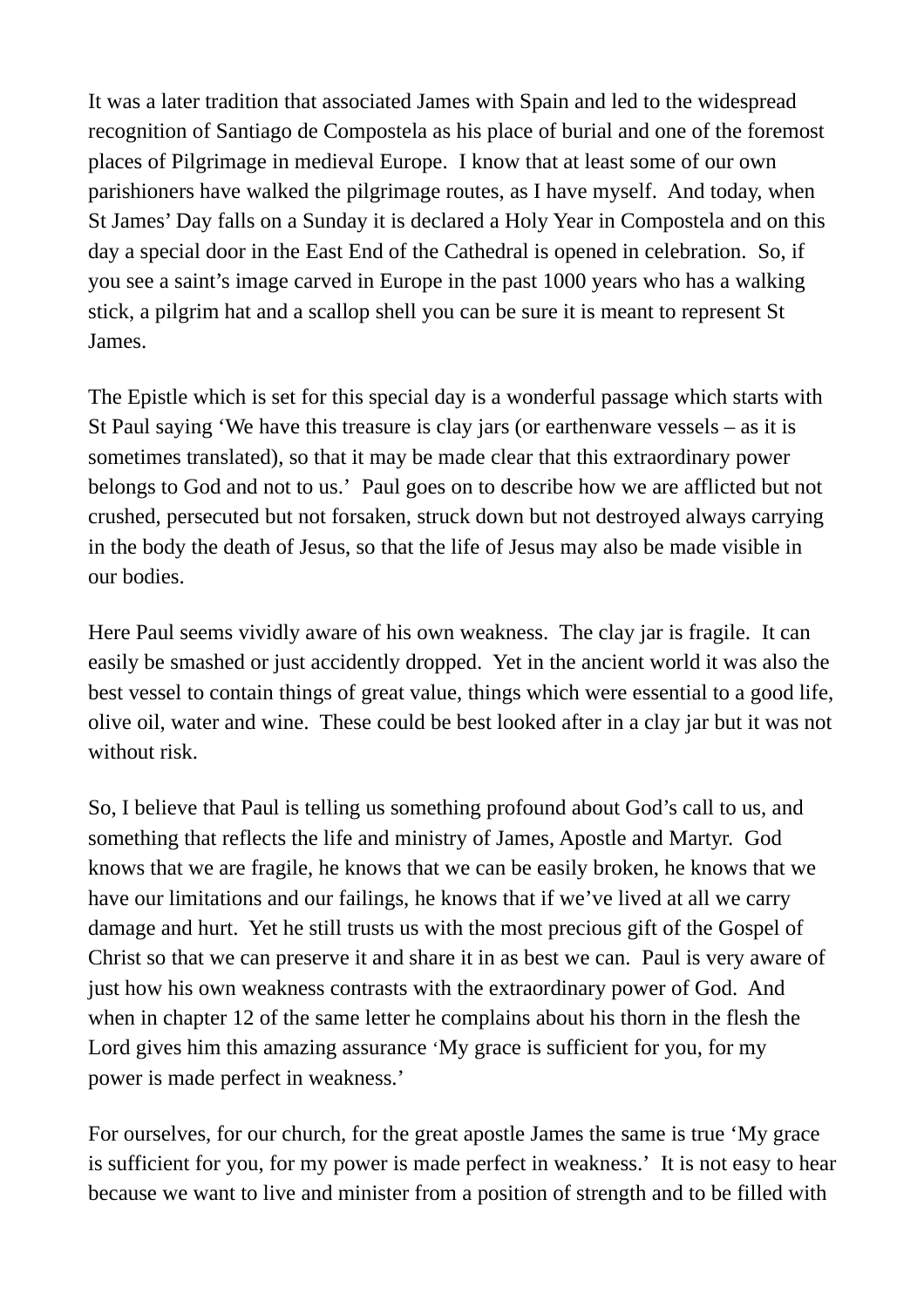It was a later tradition that associated James with Spain and led to the widespread recognition of Santiago de Compostela as his place of burial and one of the foremost places of Pilgrimage in medieval Europe. I know that at least some of our own parishioners have walked the pilgrimage routes, as I have myself. And today, when St James' Day falls on a Sunday it is declared a Holy Year in Compostela and on this day a special door in the East End of the Cathedral is opened in celebration. So, if you see a saint's image carved in Europe in the past 1000 years who has a walking stick, a pilgrim hat and a scallop shell you can be sure it is meant to represent St James.

The Epistle which is set for this special day is a wonderful passage which starts with St Paul saying 'We have this treasure is clay jars (or earthenware vessels – as it is sometimes translated), so that it may be made clear that this extraordinary power belongs to God and not to us.' Paul goes on to describe how we are afflicted but not crushed, persecuted but not forsaken, struck down but not destroyed always carrying in the body the death of Jesus, so that the life of Jesus may also be made visible in our bodies.

Here Paul seems vividly aware of his own weakness. The clay jar is fragile. It can easily be smashed or just accidently dropped. Yet in the ancient world it was also the best vessel to contain things of great value, things which were essential to a good life, olive oil, water and wine. These could be best looked after in a clay jar but it was not without risk.

So, I believe that Paul is telling us something profound about God's call to us, and something that reflects the life and ministry of James, Apostle and Martyr. God knows that we are fragile, he knows that we can be easily broken, he knows that we have our limitations and our failings, he knows that if we've lived at all we carry damage and hurt. Yet he still trusts us with the most precious gift of the Gospel of Christ so that we can preserve it and share it in as best we can. Paul is very aware of just how his own weakness contrasts with the extraordinary power of God. And when in chapter 12 of the same letter he complains about his thorn in the flesh the Lord gives him this amazing assurance 'My grace is sufficient for you, for my power is made perfect in weakness.'

For ourselves, for our church, for the great apostle James the same is true 'My grace is sufficient for you, for my power is made perfect in weakness.' It is not easy to hear because we want to live and minister from a position of strength and to be filled with